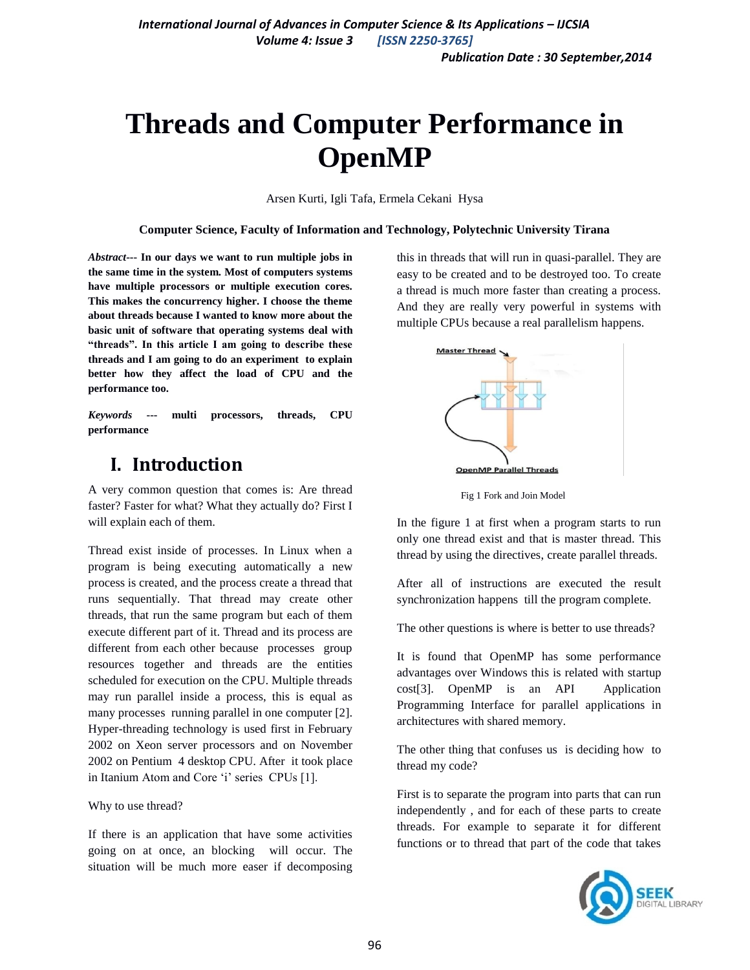# **Threads and Computer Performance in OpenMP**

Arsen Kurti, Igli Tafa, Ermela Cekani Hysa

#### **Computer Science, Faculty of Information and Technology, Polytechnic University Tirana**

*Abstract***--- In our days we want to run multiple jobs in the same time in the system. Most of computers systems have multiple processors or multiple execution cores. This makes the concurrency higher. I choose the theme about threads because I wanted to know more about the basic unit of software that operating systems deal with "threads". In this article I am going to describe these threads and I am going to do an experiment to explain better how they affect the load of CPU and the performance too.**

*Keywords* **--- multi processors, threads, CPU performance** 

# **I. Introduction**

A very common question that comes is: Are thread faster? Faster for what? What they actually do? First I will explain each of them.

Thread exist inside of processes. In Linux when a program is being executing automatically a new process is created, and the process create a thread that runs sequentially. That thread may create other threads, that run the same program but each of them execute different part of it. Thread and its process are different from each other because processes group resources together and threads are the entities scheduled for execution on the CPU. Multiple threads may run parallel inside a process, this is equal as many processes running parallel in one computer [2]. Hyper-threading technology is used first in February 2002 on Xeon server processors and on November 2002 on Pentium 4 desktop CPU. After it took place in Itanium Atom and Core 'i' series CPUs [1].

Why to use thread?

If there is an application that have some activities going on at once, an blocking will occur. The situation will be much more easer if decomposing this in threads that will run in quasi-parallel. They are easy to be created and to be destroyed too. To create a thread is much more faster than creating a process. And they are really very powerful in systems with multiple CPUs because a real parallelism happens.



Fig 1 Fork and Join Model

In the figure 1 at first when a program starts to run only one thread exist and that is master thread. This thread by using the directives, create parallel threads.

After all of instructions are executed the result synchronization happens till the program complete.

The other questions is where is better to use threads?

It is found that OpenMP has some performance advantages over Windows this is related with startup cost[3]. OpenMP is an API Application Programming Interface for parallel applications in architectures with shared memory.

The other thing that confuses us is deciding how to thread my code?

First is to separate the program into parts that can run independently , and for each of these parts to create threads. For example to separate it for different functions or to thread that part of the code that takes

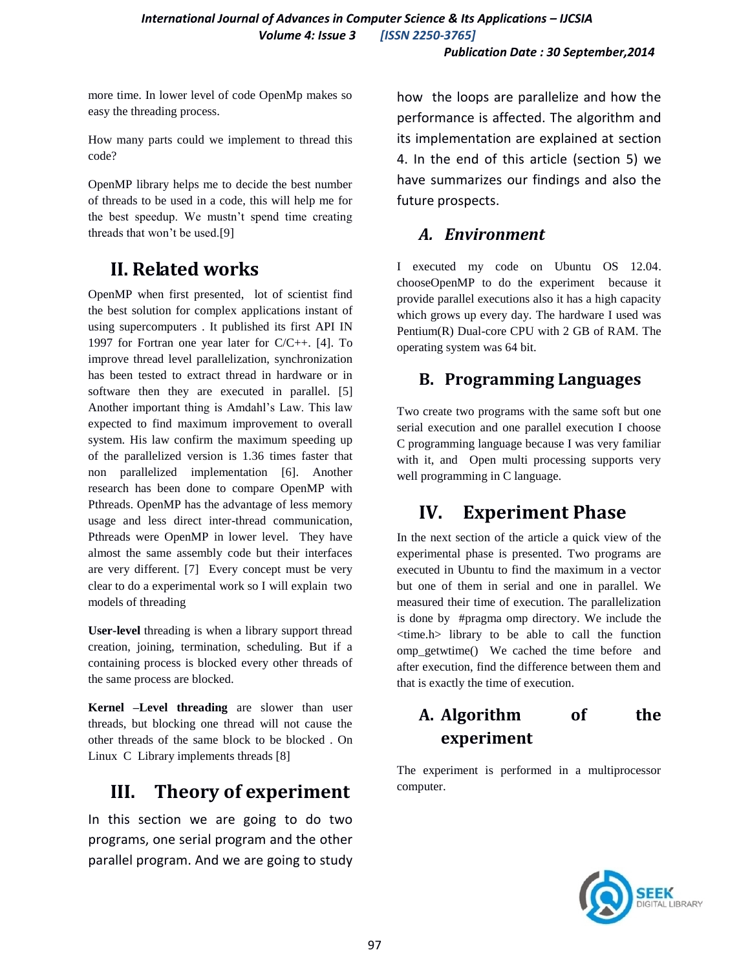more time. In lower level of code OpenMp makes so easy the threading process.

How many parts could we implement to thread this code?

OpenMP library helps me to decide the best number of threads to be used in a code, this will help me for the best speedup. We mustn't spend time creating threads that won't be used.[9]

# **II. Related works**

OpenMP when first presented, lot of scientist find the best solution for complex applications instant of using supercomputers . It published its first API IN 1997 for Fortran one year later for C/C++. [4]. To improve thread level parallelization, synchronization has been tested to extract thread in hardware or in software then they are executed in parallel. [5] Another important thing is Amdahl's Law. This law expected to find maximum improvement to overall system. His law confirm the maximum speeding up of the parallelized version is 1.36 times faster that non parallelized implementation [6]. Another research has been done to compare OpenMP with Pthreads. OpenMP has the advantage of less memory usage and less direct inter-thread communication, Pthreads were OpenMP in lower level. They have almost the same assembly code but their interfaces are very different. [7] Every concept must be very clear to do a experimental work so I will explain two models of threading

**User-level** threading is when a library support thread creation, joining, termination, scheduling. But if a containing process is blocked every other threads of the same process are blocked.

**Kernel –Level threading** are slower than user threads, but blocking one thread will not cause the other threads of the same block to be blocked . On Linux C Library implements threads [8]

# **III. Theory of experiment**

In this section we are going to do two programs, one serial program and the other parallel program. And we are going to study how the loops are parallelize and how the performance is affected. The algorithm and its implementation are explained at section 4. In the end of this article (section 5) we have summarizes our findings and also the future prospects.

## *A. Environment*

I executed my code on Ubuntu OS 12.04. chooseOpenMP to do the experiment because it provide parallel executions also it has a high capacity which grows up every day. The hardware I used was Pentium(R) Dual-core CPU with 2 GB of RAM. The operating system was 64 bit.

## **B. Programming Languages**

Two create two programs with the same soft but one serial execution and one parallel execution I choose C programming language because I was very familiar with it, and Open multi processing supports very well programming in C language.

# **IV. Experiment Phase**

In the next section of the article a quick view of the experimental phase is presented. Two programs are executed in Ubuntu to find the maximum in a vector but one of them in serial and one in parallel. We measured their time of execution. The parallelization is done by #pragma omp directory. We include the <time.h> library to be able to call the function omp\_getwtime() We cached the time before and after execution, find the difference between them and that is exactly the time of execution.

# **A. Algorithm of the experiment**

The experiment is performed in a multiprocessor computer.

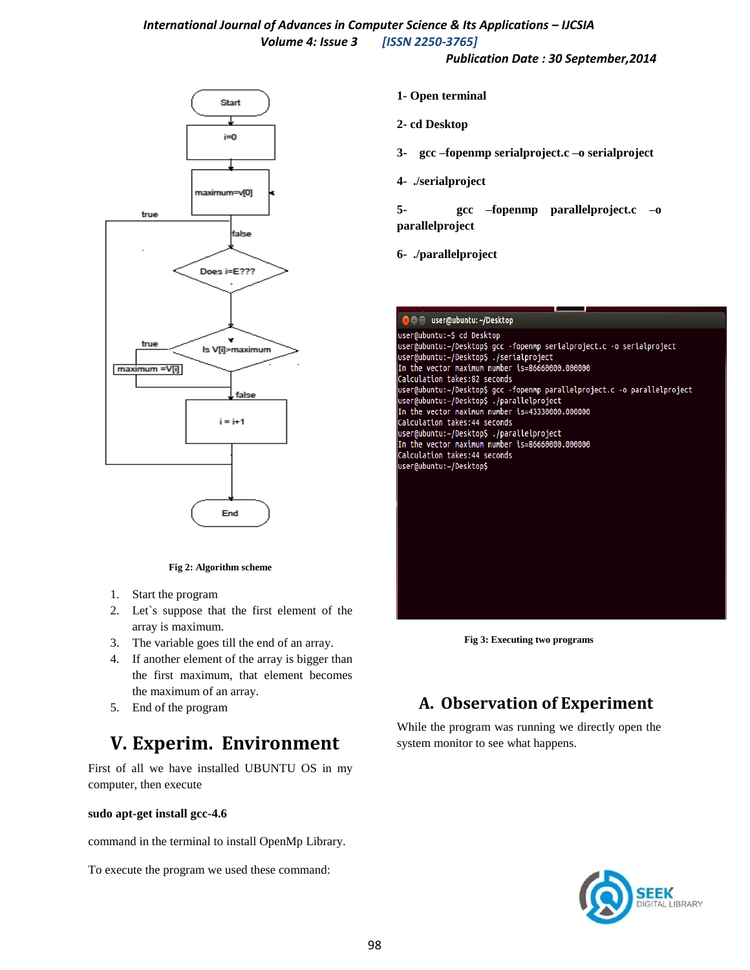### *International Journal of Advances in Computer Science & Its Applications – IJCSIA Volume 4: Issue 3 [ISSN 2250-3765]*

*Publication Date : 30 September,2014*



#### **Fig 2: Algorithm scheme**

- 1. Start the program
- 2. Let`s suppose that the first element of the array is maximum.
- 3. The variable goes till the end of an array.
- 4. If another element of the array is bigger than the first maximum, that element becomes the maximum of an array.
- 5. End of the program

# **V. Experim. Environment**

First of all we have installed UBUNTU OS in my computer, then execute

#### **sudo apt-get install gcc-4.6**

command in the terminal to install OpenMp Library.

To execute the program we used these command:

- **1- Open terminal**
- **2- cd Desktop**
- **3- gcc –fopenmp serialproject.c –o serialproject**
- **4- ./serialproject**
- **5- gcc –fopenmp parallelproject.c –o parallelproject**
- **6- ./parallelproject**



**Fig 3: Executing two programs**

## **A. Observation of Experiment**

While the program was running we directly open the system monitor to see what happens.

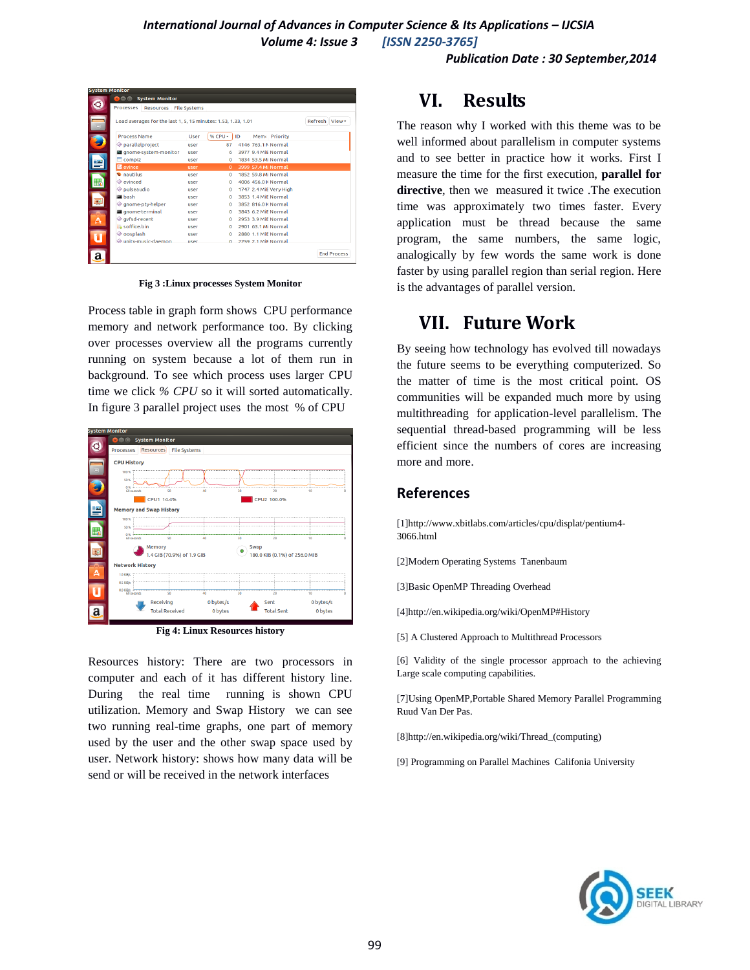|        | <b>BOO</b><br><b>System Monitor</b>                           |             |          |    |                        |                    |
|--------|---------------------------------------------------------------|-------------|----------|----|------------------------|--------------------|
| C      | Processes<br>Resources File Systems                           |             |          |    |                        |                    |
| $\Box$ | Load averages for the last 1, 5, 15 minutes: 1.53, 1.33, 1.01 |             |          |    |                        | Refresh View +     |
|        | <b>Process Name</b>                                           | <b>User</b> | % CPU +  | ID | Memo Priority          |                    |
|        | parallelproject                                               | user        | 87       |    | 4146 763.1 N Normal    |                    |
|        | na qnome-system-monitor                                       | user        | 6.       |    | 3977 9.4 MiE Normal    |                    |
|        | $\Box$ compiz                                                 | user        | $\Omega$ |    | 1834 53.5 Mi Normal    |                    |
|        | evince                                                        | user        | $\Omega$ |    | 3999 57.4 Mi Normal    |                    |
|        | <b><i>C</i></b> nautilus                                      | user        | $\Omega$ |    | 1852 59.8 Mi Normal    |                    |
|        | <b>Exinced</b>                                                | user        | $\Omega$ |    | 4006 456.0 K Normal    |                    |
|        | pulseaudio                                                    | user        | $\Omega$ |    | 1747 2.4 MiE Very High |                    |
|        | a bash                                                        | user        | $\Omega$ |    | 3853 1.4 MiE Normal    |                    |
| ¢      | ◈ qnome-pty-helper                                            | user        | $\Omega$ |    | 3852 816.0 K Normal    |                    |
|        | gnome-terminal                                                | user        | $\Omega$ |    | 3843 6.2 MiE Normal    |                    |
|        | ◈ gvfsd-recent                                                | <b>user</b> | $\Omega$ |    | 2953 3.9 MiE Normal    |                    |
|        | soffice.bin                                                   | <b>user</b> | $\Omega$ |    | 2901 63.1 Mi Normal    |                    |
|        | <b>♦</b> oosplash                                             | user        | $\Omega$ |    | 2880 1.1 MiE Normal    |                    |
|        | Thurst unity-music-daemon                                     | user        | $\Omega$ |    | 2259 2.1 MiF Normal    |                    |
|        |                                                               |             |          |    |                        | <b>End Process</b> |

**Fig 3 :Linux processes System Monitor**

Process table in graph form shows CPU performance memory and network performance too. By clicking over processes overview all the programs currently running on system because a lot of them run in background. To see which process uses larger CPU time we click *% CPU* so it will sorted automatically. In figure 3 parallel project uses the most % of CPU



**Fig 4: Linux Resources history**

Resources history: There are two processors in computer and each of it has different history line. During the real time running is shown CPU utilization. Memory and Swap History we can see two running real-time graphs, one part of memory used by the user and the other swap space used by user. Network history: shows how many data will be send or will be received in the network interfaces

# **VI. Results**

The reason why I worked with this theme was to be well informed about parallelism in computer systems and to see better in practice how it works. First I measure the time for the first execution, **parallel for directive**, then we measured it twice .The execution time was approximately two times faster. Every application must be thread because the same program, the same numbers, the same logic, analogically by few words the same work is done faster by using parallel region than serial region. Here is the advantages of parallel version.

## **VII. Future Work**

By seeing how technology has evolved till nowadays the future seems to be everything computerized. So the matter of time is the most critical point. OS communities will be expanded much more by using multithreading for application-level parallelism. The sequential thread-based programming will be less efficient since the numbers of cores are increasing more and more.

### **References**

[1]http://www.xbitlabs.com/articles/cpu/displat/pentium4- 3066.html

[2]Modern Operating Systems Tanenbaum

[3]Basic OpenMP Threading Overhead

[4]http://en.wikipedia.org/wiki/OpenMP#History

[5] A Clustered Approach to Multithread Processors

[6] Validity of the single processor approach to the achieving Large scale computing capabilities.

[7]Using OpenMP,Portable Shared Memory Parallel Programming Ruud Van Der Pas.

[8]http://en.wikipedia.org/wiki/Thread\_(computing)

[9] Programming on Parallel Machines Califonia University

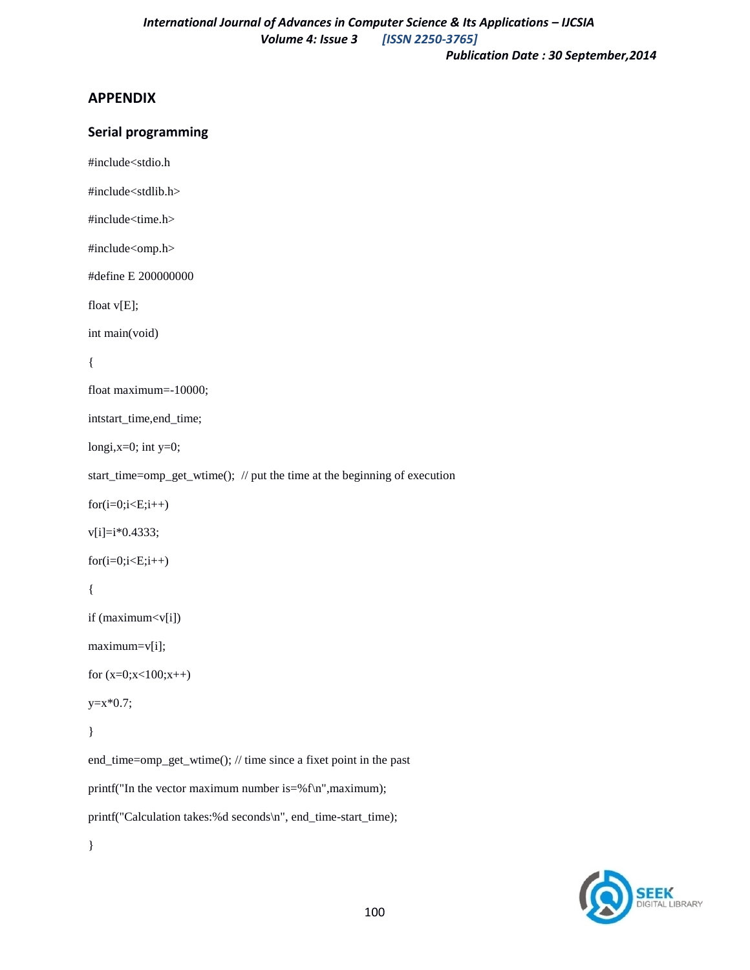### **APPENDIX**

### **Serial programming**

#include<stdio.h

#include<stdlib.h>

#include<time.h>

#include<omp.h>

#define E 200000000

float v[E];

int main(void)

#### {

```
float maximum=-10000;
```
intstart\_time,end\_time;

longi, $x=0$ ; int  $y=0$ ;

start\_time=omp\_get\_wtime(); // put the time at the beginning of execution

 $for(i=0; i < E; i++)$ 

 $v[i]=i*0.4333;$ 

 $for(i=0; i < E; i++)$ 

{

```
if (maximum < v[i])
```
maximum=v[i];

```
for (x=0;x<100;x++)
```

```
y=x*0.7;
```

```
}
```
end\_time=omp\_get\_wtime(); // time since a fixet point in the past printf("In the vector maximum number is=%f\n",maximum); printf("Calculation takes:%d seconds\n", end\_time-start\_time); }

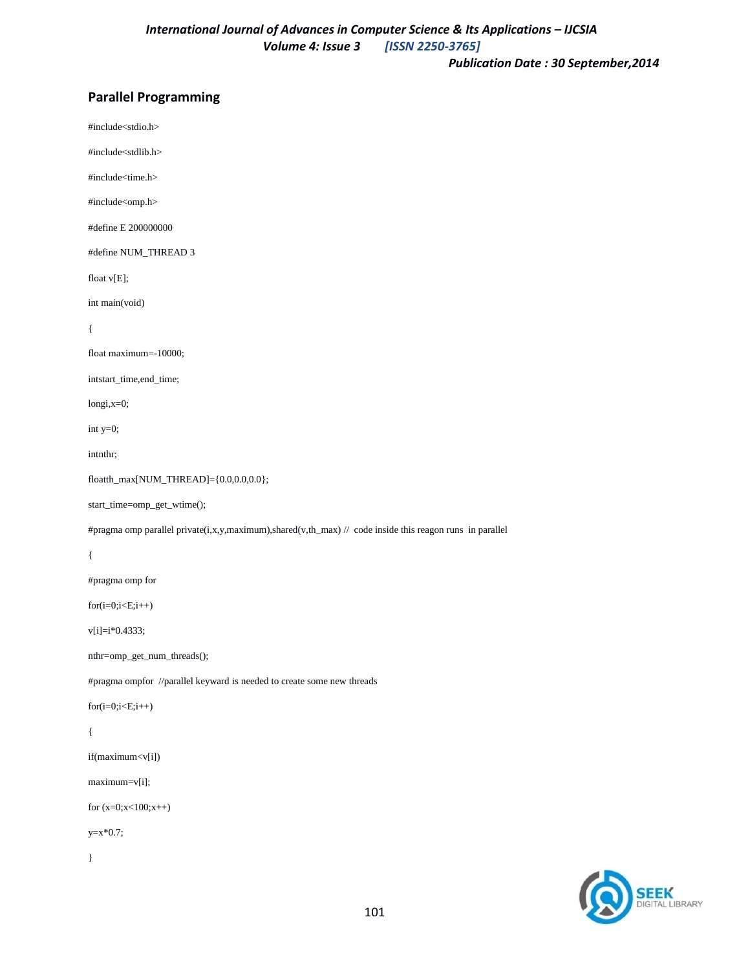### **Parallel Programming**

#include<stdio.h>

#include<stdlib.h>

#include<time.h>

#include<omp.h>

#define E 200000000

#define NUM\_THREAD 3

float v[E];

int main(void)

{

float maximum=-10000;

intstart\_time,end\_time;

longi,x=0;

int y=0;

intnthr;

```
floatth_max[NUM_THREAD]={0.0,0.0,0.0};
```
start\_time=omp\_get\_wtime();

#pragma omp parallel private(i,x,y,maximum),shared(v,th\_max) // code inside this reagon runs in parallel

{

#pragma omp for

 $for(i=0; i < E; i++)$ 

v[i]=i\*0.4333;

nthr=omp\_get\_num\_threads();

#pragma ompfor //parallel keyward is needed to create some new threads

 $for(i=0; i < E; i++)$ 

#### {

```
if(maximum<v[i])
```
maximum=v[i];

for (x=0;x<100;x++)

 $y=x*0.7;$ 

}